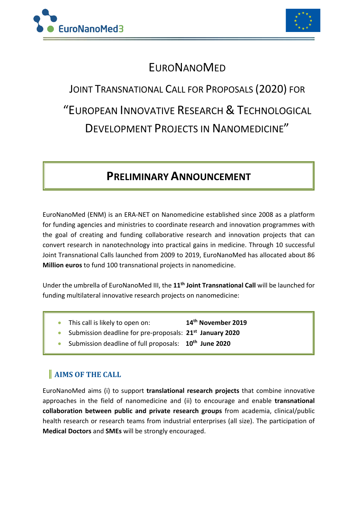



# **EURONANOMED**

# JOINT TRANSNATIONAL CALL FOR PROPOSALS (2020) FOR "EUROPEAN INNOVATIVE RESEARCH & TECHNOLOGICAL DEVELOPMENT PROJECTS IN NANOMEDICINE"

### **PRELIMINARY ANNOUNCEMENT**

EuroNanoMed (ENM) is an ERA-NET on Nanomedicine established since 2008 as a platform for funding agencies and ministries to coordinate research and innovation programmes with the goal of creating and funding collaborative research and innovation projects that can convert research in nanotechnology into practical gains in medicine. Through 10 successful Joint Transnational Calls launched from 2009 to 2019, EuroNanoMed has allocated about 86 **Million euros** to fund 100 transnational projects in nanomedicine.

Under the umbrella of EuroNanoMed III, the **11th Joint Transnational Call** will be launched for funding multilateral innovative research projects on nanomedicine:

- This call is likely to open on: **14th November 2019**
- Submission deadline for pre-proposals: **21st January 2020**
- Submission deadline of full proposals: **10th June 2020**

#### **AIMS OF THE CALL**

EuroNanoMed aims (i) to support **translational research projects** that combine innovative approaches in the field of nanomedicine and (ii) to encourage and enable **transnational collaboration between public and private research groups** from academia, clinical/public health research or research teams from industrial enterprises (all size). The participation of **Medical Doctors** and **SMEs** will be strongly encouraged.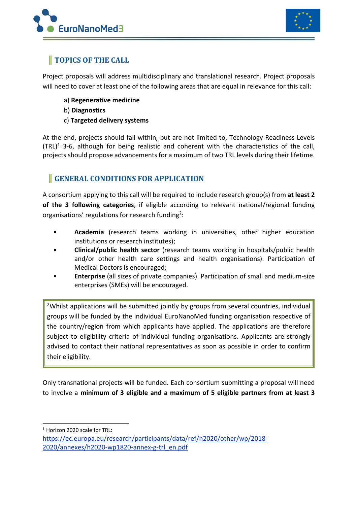



#### **TOPICS OF THE CALL**

Project proposals will address multidisciplinary and translational research. Project proposals will need to cover at least one of the following areas that are equal in relevance for this call:

- a) **Regenerative medicine**
- b) **Diagnostics**
- c) **Targeted delivery systems**

At the end, projects should fall within, but are not limited to, Technology Readiness Levels  $(TRL)^1$  3-6, although for being realistic and coherent with the characteristics of the call, projects should propose advancements for a maximum of two TRL levels during their lifetime.

#### **GENERAL CONDITIONS FOR APPLICATION**

A consortium applying to this call will be required to include research group(s) from **at least 2 of the 3 following categories**, if eligible according to relevant national/regional funding organisations' regulations for research funding<sup>2</sup>:

- **Academia** (research teams working in universities, other higher education institutions or research institutes);
- **Clinical/public health sector** (research teams working in hospitals/public health and/or other health care settings and health organisations). Participation of Medical Doctors is encouraged;
- **Enterprise** (all sizes of private companies). Participation of small and medium-size enterprises (SMEs) will be encouraged.

<sup>2</sup>Whilst applications will be submitted jointly by groups from several countries, individual groups will be funded by the individual EuroNanoMed funding organisation respective of the country/region from which applicants have applied. The applications are therefore subject to eligibility criteria of individual funding organisations. Applicants are strongly advised to contact their national representatives as soon as possible in order to confirm their eligibility.

Only transnational projects will be funded. Each consortium submitting a proposal will need to involve a **minimum of 3 eligible and a maximum of 5 eligible partners from at least 3** 

 $<sup>1</sup>$  Horizon 2020 scale for TRL:</sup>

https://ec.europa.eu/research/participants/data/ref/h2020/other/wp/2018- 2020/annexes/h2020-wp1820-annex-g-trl\_en.pdf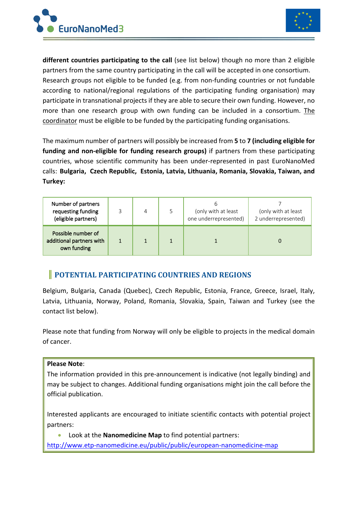



**different countries participating to the call** (see list below) though no more than 2 eligible partners from the same country participating in the call will be accepted in one consortium. Research groups not eligible to be funded (e.g. from non-funding countries or not fundable according to national/regional regulations of the participating funding organisation) may participate in transnational projects if they are able to secure their own funding. However, no more than one research group with own funding can be included in a consortium. The coordinator must be eligible to be funded by the participating funding organisations.

The maximum number of partners will possibly be increased from **5** to **7 (including eligible for funding and non-eligible for funding research groups)** if partners from these participating countries, whose scientific community has been under-represented in past EuroNanoMed calls: **Bulgaria, Czech Republic, Estonia, Latvia, Lithuania, Romania, Slovakia, Taiwan, and Turkey:**

| Number of partners<br>requesting funding<br>(eligible partners) | 4 | (only with at least<br>one underrepresented) | (only with at least<br>2 underrepresented) |
|-----------------------------------------------------------------|---|----------------------------------------------|--------------------------------------------|
| Possible number of<br>additional partners with<br>own funding   |   |                                              |                                            |

#### **POTENTIAL PARTICIPATING COUNTRIES AND REGIONS**

Belgium, Bulgaria, Canada (Quebec), Czech Republic, Estonia, France, Greece, Israel, Italy, Latvia, Lithuania, Norway, Poland, Romania, Slovakia, Spain, Taiwan and Turkey (see the contact list below).

Please note that funding from Norway will only be eligible to projects in the medical domain of cancer.

#### **Please Note**:

The information provided in this pre-announcement is indicative (not legally binding) and may be subject to changes. Additional funding organisations might join the call before the official publication.

Interested applicants are encouraged to initiate scientific contacts with potential project partners:

• Look at the **Nanomedicine Map** to find potential partners: http://www.etp-nanomedicine.eu/public/public/european-nanomedicine-map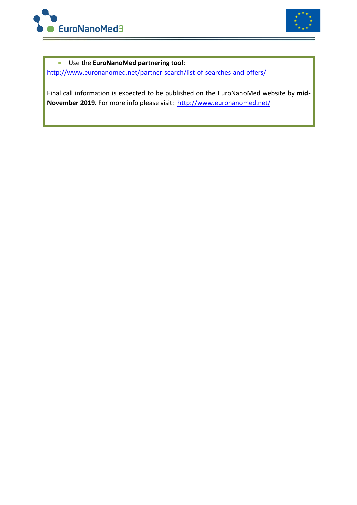



• Use the **EuroNanoMed partnering tool**: http://www.euronanomed.net/partner-search/list-of-searches-and-offers/

Final call information is expected to be published on the EuroNanoMed website by **mid-November 2019.** For more info please visit: http://www.euronanomed.net/